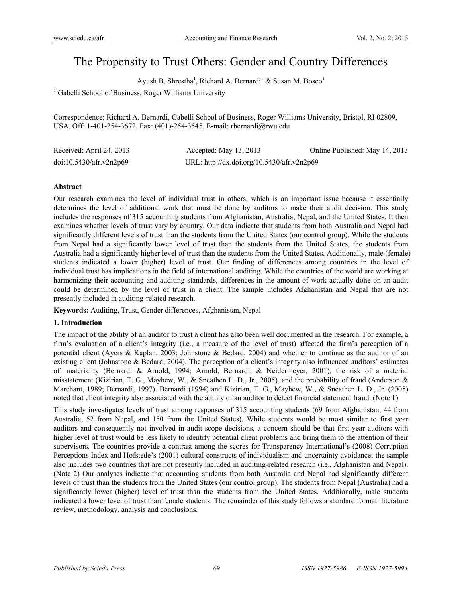# The Propensity to Trust Others: Gender and Country Differences

Ayush B. Shrestha<sup>1</sup>, Richard A. Bernardi<sup>1</sup> & Susan M. Bosco<sup>1</sup>

<sup>1</sup> Gabelli School of Business, Roger Williams University

Correspondence: Richard A. Bernardi, Gabelli School of Business, Roger Williams University, Bristol, RI 02809, USA. Off: 1-401-254-3672. Fax: (401)-254-3545. E-mail: rbernardi@rwu.edu

| Received: April 24, 2013 | Accepted: May $13, 2013$                   | Online Published: May 14, 2013 |
|--------------------------|--------------------------------------------|--------------------------------|
| doi:10.5430/afr.v2n2p69  | URL: http://dx.doi.org/10.5430/afr.v2n2p69 |                                |

## **Abstract**

Our research examines the level of individual trust in others, which is an important issue because it essentially determines the level of additional work that must be done by auditors to make their audit decision. This study includes the responses of 315 accounting students from Afghanistan, Australia, Nepal, and the United States. It then examines whether levels of trust vary by country. Our data indicate that students from both Australia and Nepal had significantly different levels of trust than the students from the United States (our control group). While the students from Nepal had a significantly lower level of trust than the students from the United States, the students from Australia had a significantly higher level of trust than the students from the United States. Additionally, male (female) students indicated a lower (higher) level of trust. Our finding of differences among countries in the level of individual trust has implications in the field of international auditing. While the countries of the world are working at harmonizing their accounting and auditing standards, differences in the amount of work actually done on an audit could be determined by the level of trust in a client. The sample includes Afghanistan and Nepal that are not presently included in auditing-related research.

**Keywords:** Auditing, Trust, Gender differences, Afghanistan, Nepal

# **1. Introduction**

The impact of the ability of an auditor to trust a client has also been well documented in the research. For example, a firm's evaluation of a client's integrity (i.e., a measure of the level of trust) affected the firm's perception of a potential client (Ayers & Kaplan, 2003; Johnstone & Bedard, 2004) and whether to continue as the auditor of an existing client (Johnstone & Bedard, 2004). The perception of a client's integrity also influenced auditors' estimates of: materiality (Bernardi & Arnold, 1994; Arnold, Bernardi, & Neidermeyer, 2001), the risk of a material misstatement (Kizirian, T. G., Mayhew, W., & Sneathen L. D., Jr., 2005), and the probability of fraud (Anderson & Marchant, 1989; Bernardi, 1997). Bernardi (1994) and Kizirian, T. G., Mayhew, W., & Sneathen L. D., Jr. (2005) noted that client integrity also associated with the ability of an auditor to detect financial statement fraud. (Note 1)

This study investigates levels of trust among responses of 315 accounting students (69 from Afghanistan, 44 from Australia, 52 from Nepal, and 150 from the United States). While students would be most similar to first year auditors and consequently not involved in audit scope decisions, a concern should be that first-year auditors with higher level of trust would be less likely to identify potential client problems and bring them to the attention of their supervisors. The countries provide a contrast among the scores for Transparency International's (2008) Corruption Perceptions Index and Hofstede's (2001) cultural constructs of individualism and uncertainty avoidance; the sample also includes two countries that are not presently included in auditing-related research (i.e., Afghanistan and Nepal). (Note 2) Our analyses indicate that accounting students from both Australia and Nepal had significantly different levels of trust than the students from the United States (our control group). The students from Nepal (Australia) had a significantly lower (higher) level of trust than the students from the United States. Additionally, male students indicated a lower level of trust than female students. The remainder of this study follows a standard format: literature review, methodology, analysis and conclusions.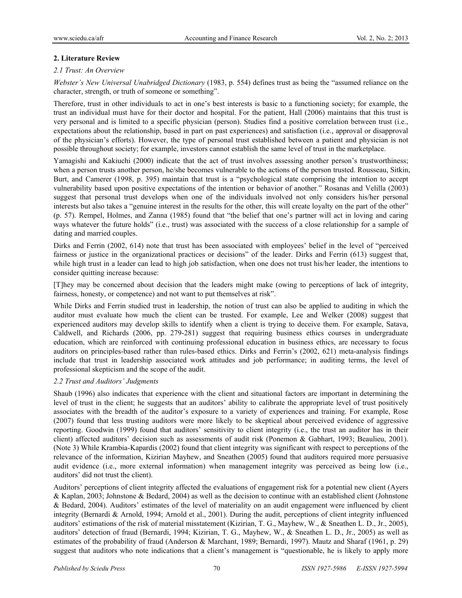# **2. Literature Review**

# *2.1 Trust: An Overview*

*Webster's New Universal Unabridged Dictionary* (1983, p. 554) defines trust as being the "assumed reliance on the character, strength, or truth of someone or something".

Therefore, trust in other individuals to act in one's best interests is basic to a functioning society; for example, the trust an individual must have for their doctor and hospital. For the patient, Hall (2006) maintains that this trust is very personal and is limited to a specific physician (person). Studies find a positive correlation between trust (i.e., expectations about the relationship, based in part on past experiences) and satisfaction (i.e., approval or disapproval of the physician's efforts). However, the type of personal trust established between a patient and physician is not possible throughout society; for example, investors cannot establish the same level of trust in the marketplace.

Yamagishi and Kakiuchi (2000) indicate that the act of trust involves assessing another person's trustworthiness; when a person trusts another person, he/she becomes vulnerable to the actions of the person trusted. Rousseau, Sitkin, Burt, and Camerer (1998, p. 395) maintain that trust is a "psychological state comprising the intention to accept vulnerability based upon positive expectations of the intention or behavior of another." Rosanas and Velilla (2003) suggest that personal trust develops when one of the individuals involved not only considers his/her personal interests but also takes a "genuine interest in the results for the other, this will create loyalty on the part of the other" (p. 57). Rempel, Holmes, and Zanna (1985) found that "the belief that one's partner will act in loving and caring ways whatever the future holds" (i.e., trust) was associated with the success of a close relationship for a sample of dating and married couples.

Dirks and Ferrin (2002, 614) note that trust has been associated with employees' belief in the level of "perceived fairness or justice in the organizational practices or decisions" of the leader. Dirks and Ferrin (613) suggest that, while high trust in a leader can lead to high job satisfaction, when one does not trust his/her leader, the intentions to consider quitting increase because:

[T]hey may be concerned about decision that the leaders might make (owing to perceptions of lack of integrity, fairness, honesty, or competence) and not want to put themselves at risk".

While Dirks and Ferrin studied trust in leadership, the notion of trust can also be applied to auditing in which the auditor must evaluate how much the client can be trusted. For example, Lee and Welker (2008) suggest that experienced auditors may develop skills to identify when a client is trying to deceive them. For example, Satava, Caldwell, and Richards (2006, pp. 279-281) suggest that requiring business ethics courses in undergraduate education, which are reinforced with continuing professional education in business ethics, are necessary to focus auditors on principles-based rather than rules-based ethics. Dirks and Ferrin's (2002, 621) meta-analysis findings include that trust in leadership associated work attitudes and job performance; in auditing terms, the level of professional skepticism and the scope of the audit.

# *2.2 Trust and Auditors' Judgments*

Shaub (1996) also indicates that experience with the client and situational factors are important in determining the level of trust in the client; he suggests that an auditors' ability to calibrate the appropriate level of trust positively associates with the breadth of the auditor's exposure to a variety of experiences and training. For example, Rose (2007) found that less trusting auditors were more likely to be skeptical about perceived evidence of aggressive reporting. Goodwin (1999) found that auditors' sensitivity to client integrity (i.e., the trust an auditor has in their client) affected auditors' decision such as assessments of audit risk (Ponemon & Gabhart, 1993; Beaulieu, 2001). (Note 3) While Krambia-Kapardis (2002) found that client integrity was significant with respect to perceptions of the relevance of the information, Kizirian Mayhew, and Sneathen (2005) found that auditors required more persuasive audit evidence (i.e., more external information) when management integrity was perceived as being low (i.e., auditors' did not trust the client).

Auditors' perceptions of client integrity affected the evaluations of engagement risk for a potential new client (Ayers & Kaplan, 2003; Johnstone & Bedard, 2004) as well as the decision to continue with an established client (Johnstone & Bedard, 2004). Auditors' estimates of the level of materiality on an audit engagement were influenced by client integrity (Bernardi & Arnold, 1994; Arnold et al., 2001). During the audit, perceptions of client integrity influenced auditors' estimations of the risk of material misstatement (Kizirian, T. G., Mayhew, W., & Sneathen L. D., Jr., 2005), auditors' detection of fraud (Bernardi, 1994; Kizirian, T. G., Mayhew, W., & Sneathen L. D., Jr., 2005) as well as estimates of the probability of fraud (Anderson & Marchant, 1989; Bernardi, 1997). Mautz and Sharaf (1961, p. 29) suggest that auditors who note indications that a client's management is "questionable, he is likely to apply more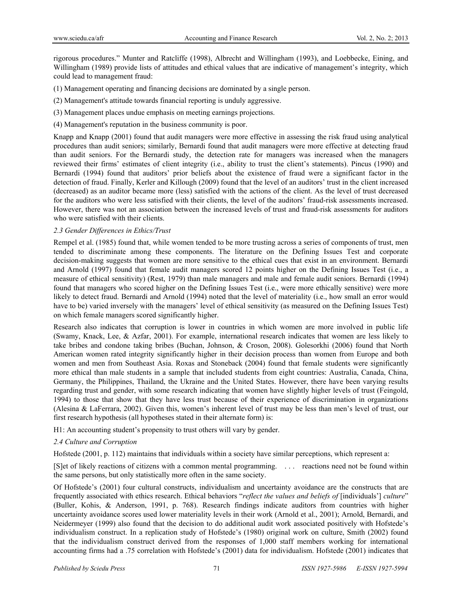rigorous procedures." Munter and Ratcliffe (1998), Albrecht and Willingham (1993), and Loebbecke, Eining, and Willingham (1989) provide lists of attitudes and ethical values that are indicative of management's integrity, which could lead to management fraud:

- (1) Management operating and financing decisions are dominated by a single person.
- (2) Management's attitude towards financial reporting is unduly aggressive.
- (3) Management places undue emphasis on meeting earnings projections.
- (4) Management's reputation in the business community is poor.

Knapp and Knapp (2001) found that audit managers were more effective in assessing the risk fraud using analytical procedures than audit seniors; similarly, Bernardi found that audit managers were more effective at detecting fraud than audit seniors. For the Bernardi study, the detection rate for managers was increased when the managers reviewed their firms' estimates of client integrity (i.e., ability to trust the client's statements). Pincus (1990) and Bernardi (1994) found that auditors' prior beliefs about the existence of fraud were a significant factor in the detection of fraud. Finally, Kerler and Killough (2009) found that the level of an auditors' trust in the client increased (decreased) as an auditor became more (less) satisfied with the actions of the client. As the level of trust decreased for the auditors who were less satisfied with their clients, the level of the auditors' fraud-risk assessments increased. However, there was not an association between the increased levels of trust and fraud-risk assessments for auditors who were satisfied with their clients.

## *2.3 Gender Differences in Ethics/Trust*

Rempel et al. (1985) found that, while women tended to be more trusting across a series of components of trust, men tended to discriminate among these components. The literature on the Defining Issues Test and corporate decision-making suggests that women are more sensitive to the ethical cues that exist in an environment. Bernardi and Arnold (1997) found that female audit managers scored 12 points higher on the Defining Issues Test (i.e., a measure of ethical sensitivity) (Rest, 1979) than male managers and male and female audit seniors. Bernardi (1994) found that managers who scored higher on the Defining Issues Test (i.e., were more ethically sensitive) were more likely to detect fraud. Bernardi and Arnold (1994) noted that the level of materiality (i.e., how small an error would have to be) varied inversely with the managers' level of ethical sensitivity (as measured on the Defining Issues Test) on which female managers scored significantly higher.

Research also indicates that corruption is lower in countries in which women are more involved in public life (Swamy, Knack, Lee, & Azfar, 2001). For example, international research indicates that women are less likely to take bribes and condone taking bribes (Buchan, Johnson, & Croson, 2008). Golesorkhi (2006) found that North American women rated integrity significantly higher in their decision process than women from Europe and both women and men from Southeast Asia. Roxas and Stoneback (2004) found that female students were significantly more ethical than male students in a sample that included students from eight countries: Australia, Canada, China, Germany, the Philippines, Thailand, the Ukraine and the United States. However, there have been varying results regarding trust and gender, with some research indicating that women have slightly higher levels of trust (Feingold, 1994) to those that show that they have less trust because of their experience of discrimination in organizations (Alesina & LaFerrara, 2002). Given this, women's inherent level of trust may be less than men's level of trust, our first research hypothesis (all hypotheses stated in their alternate form) is:

H1: An accounting student's propensity to trust others will vary by gender.

## *2.4 Culture and Corruption*

Hofstede (2001, p. 112) maintains that individuals within a society have similar perceptions, which represent a:

[S]et of likely reactions of citizens with a common mental programming. . . . reactions need not be found within the same persons, but only statistically more often in the same society.

Of Hofstede's (2001) four cultural constructs, individualism and uncertainty avoidance are the constructs that are frequently associated with ethics research. Ethical behaviors "*reflect the values and beliefs of* [individuals'] *culture*" (Buller, Kohis, & Anderson, 1991, p. 768). Research findings indicate auditors from countries with higher uncertainty avoidance scores used lower materiality levels in their work (Arnold et al., 2001); Arnold, Bernardi, and Neidermeyer (1999) also found that the decision to do additional audit work associated positively with Hofstede's individualism construct. In a replication study of Hofstede's (1980) original work on culture, Smith (2002) found that the individualism construct derived from the responses of 1,000 staff members working for international accounting firms had a .75 correlation with Hofstede's (2001) data for individualism. Hofstede (2001) indicates that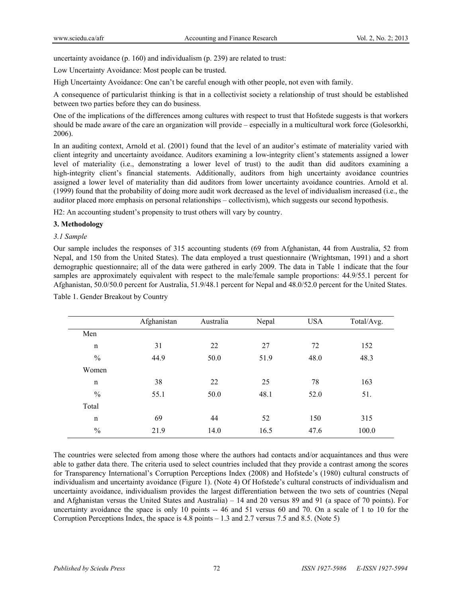uncertainty avoidance (p. 160) and individualism (p. 239) are related to trust:

Low Uncertainty Avoidance: Most people can be trusted.

High Uncertainty Avoidance: One can't be careful enough with other people, not even with family.

A consequence of particularist thinking is that in a collectivist society a relationship of trust should be established between two parties before they can do business.

One of the implications of the differences among cultures with respect to trust that Hofstede suggests is that workers should be made aware of the care an organization will provide – especially in a multicultural work force (Golesorkhi, 2006).

In an auditing context, Arnold et al. (2001) found that the level of an auditor's estimate of materiality varied with client integrity and uncertainty avoidance. Auditors examining a low-integrity client's statements assigned a lower level of materiality (i.e., demonstrating a lower level of trust) to the audit than did auditors examining a high-integrity client's financial statements. Additionally, auditors from high uncertainty avoidance countries assigned a lower level of materiality than did auditors from lower uncertainty avoidance countries. Arnold et al. (1999) found that the probability of doing more audit work decreased as the level of individualism increased (i.e., the auditor placed more emphasis on personal relationships – collectivism), which suggests our second hypothesis.

H2: An accounting student's propensity to trust others will vary by country.

## **3. Methodology**

## *3.1 Sample*

Our sample includes the responses of 315 accounting students (69 from Afghanistan, 44 from Australia, 52 from Nepal, and 150 from the United States). The data employed a trust questionnaire (Wrightsman, 1991) and a short demographic questionnaire; all of the data were gathered in early 2009. The data in Table 1 indicate that the four samples are approximately equivalent with respect to the male/female sample proportions: 44.9/55.1 percent for Afghanistan, 50.0/50.0 percent for Australia, 51.9/48.1 percent for Nepal and 48.0/52.0 percent for the United States.

|               | Afghanistan | Australia | Nepal | <b>USA</b> | Total/Avg. |
|---------------|-------------|-----------|-------|------------|------------|
| Men           |             |           |       |            |            |
| n             | 31          | 22        | 27    | 72         | 152        |
| $\frac{0}{0}$ | 44.9        | 50.0      | 51.9  | 48.0       | 48.3       |
| Women         |             |           |       |            |            |
| n             | 38          | 22        | 25    | 78         | 163        |
| $\frac{0}{0}$ | 55.1        | 50.0      | 48.1  | 52.0       | 51.        |
| Total         |             |           |       |            |            |
| $\mathbf n$   | 69          | 44        | 52    | 150        | 315        |
| $\frac{0}{0}$ | 21.9        | 14.0      | 16.5  | 47.6       | 100.0      |

Table 1. Gender Breakout by Country

The countries were selected from among those where the authors had contacts and/or acquaintances and thus were able to gather data there. The criteria used to select countries included that they provide a contrast among the scores for Transparency International's Corruption Perceptions Index (2008) and Hofstede's (1980) cultural constructs of individualism and uncertainty avoidance (Figure 1). (Note 4) Of Hofstede's cultural constructs of individualism and uncertainty avoidance, individualism provides the largest differentiation between the two sets of countries (Nepal and Afghanistan versus the United States and Australia) – 14 and 20 versus 89 and 91 (a space of 70 points). For uncertainty avoidance the space is only 10 points -- 46 and 51 versus 60 and 70. On a scale of 1 to 10 for the Corruption Perceptions Index, the space is 4.8 points – 1.3 and 2.7 versus 7.5 and 8.5. (Note 5)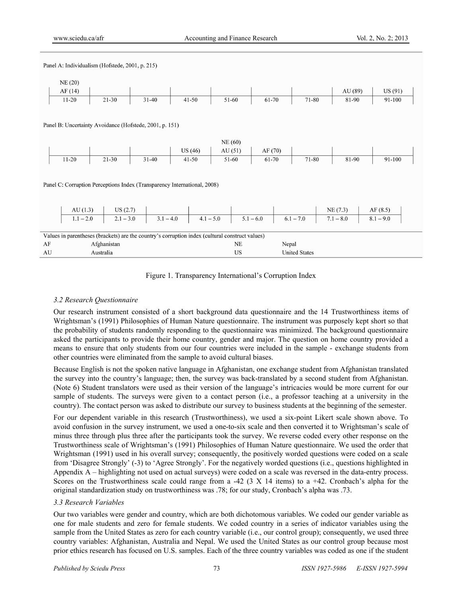| Panel A: Individualism (Hofstede, 2001, p. 215) |                                                                          |             |                                                         |                                                                                                 |           |             |       |                      |             |             |  |
|-------------------------------------------------|--------------------------------------------------------------------------|-------------|---------------------------------------------------------|-------------------------------------------------------------------------------------------------|-----------|-------------|-------|----------------------|-------------|-------------|--|
| NE(20)                                          |                                                                          |             |                                                         |                                                                                                 |           |             |       |                      |             |             |  |
| AF(14)                                          |                                                                          |             |                                                         |                                                                                                 |           |             |       |                      | AU (89)     | US(91)      |  |
| $11 - 20$                                       |                                                                          | $21 - 30$   | $31 - 40$                                               | $41 - 50$                                                                                       | 51-60     | 61-70       |       | 71-80                | 81-90       | 91-100      |  |
|                                                 |                                                                          |             |                                                         |                                                                                                 |           |             |       |                      |             |             |  |
|                                                 |                                                                          |             | Panel B: Uncertainty Avoidance (Hofstede, 2001, p. 151) |                                                                                                 |           |             |       |                      |             |             |  |
|                                                 |                                                                          |             |                                                         |                                                                                                 |           |             |       |                      |             |             |  |
|                                                 |                                                                          |             |                                                         |                                                                                                 | NE(60)    |             |       |                      |             |             |  |
|                                                 |                                                                          |             |                                                         | US(46)                                                                                          | AU(51)    | AF(70)      |       |                      |             |             |  |
| $11 - 20$                                       |                                                                          | $21 - 30$   | $31 - 40$                                               | $41 - 50$                                                                                       | 51-60     | 61-70       |       | 71-80                | 81-90       | 91-100      |  |
|                                                 |                                                                          |             |                                                         |                                                                                                 |           |             |       |                      |             |             |  |
|                                                 | Panel C: Corruption Perceptions Index (Transparency International, 2008) |             |                                                         |                                                                                                 |           |             |       |                      |             |             |  |
|                                                 |                                                                          |             |                                                         |                                                                                                 |           |             |       |                      |             |             |  |
|                                                 |                                                                          |             |                                                         |                                                                                                 |           |             |       |                      |             |             |  |
|                                                 | AU(1.3)                                                                  | US(2.7)     |                                                         |                                                                                                 |           |             |       |                      | NE(7.3)     | AF(8.5)     |  |
|                                                 | $1.1 - 2.0$                                                              | $2.1 - 3.0$ | $3.1 - 4.0$                                             | $4.1 - 5.0$                                                                                     |           | $5.1 - 6.0$ |       | $6.1 - 7.0$          | $7.1 - 8.0$ | $8.1 - 9.0$ |  |
|                                                 |                                                                          |             |                                                         |                                                                                                 |           |             |       |                      |             |             |  |
|                                                 |                                                                          |             |                                                         | Values in parentheses (brackets) are the country's corruption index (cultural construct values) |           |             |       |                      |             |             |  |
| AF                                              |                                                                          | Afghanistan |                                                         |                                                                                                 | NE        |             | Nepal |                      |             |             |  |
| AU                                              |                                                                          | Australia   |                                                         |                                                                                                 | <b>US</b> |             |       | <b>United States</b> |             |             |  |

## Figure 1. Transparency International's Corruption Index

## *3.2 Research Questionnaire*

Our research instrument consisted of a short background data questionnaire and the 14 Trustworthiness items of Wrightsman's (1991) Philosophies of Human Nature questionnaire. The instrument was purposely kept short so that the probability of students randomly responding to the questionnaire was minimized. The background questionnaire asked the participants to provide their home country, gender and major. The question on home country provided a means to ensure that only students from our four countries were included in the sample - exchange students from other countries were eliminated from the sample to avoid cultural biases.

Because English is not the spoken native language in Afghanistan, one exchange student from Afghanistan translated the survey into the country's language; then, the survey was back-translated by a second student from Afghanistan. (Note 6) Student translators were used as their version of the language's intricacies would be more current for our sample of students. The surveys were given to a contact person (i.e., a professor teaching at a university in the country). The contact person was asked to distribute our survey to business students at the beginning of the semester.

For our dependent variable in this research (Trustworthiness), we used a six-point Likert scale shown above. To avoid confusion in the survey instrument, we used a one-to-six scale and then converted it to Wrightsman's scale of minus three through plus three after the participants took the survey. We reverse coded every other response on the Trustworthiness scale of Wrightsman's (1991) Philosophies of Human Nature questionnaire. We used the order that Wrightsman (1991) used in his overall survey; consequently, the positively worded questions were coded on a scale from 'Disagree Strongly' (-3) to 'Agree Strongly'. For the negatively worded questions (i.e., questions highlighted in Appendix A – highlighting not used on actual surveys) were coded on a scale was reversed in the data-entry process. Scores on the Trustworthiness scale could range from a -42  $(3 \times 14)$  items) to a +42. Cronbach's alpha for the original standardization study on trustworthiness was .78; for our study, Cronbach's alpha was .73.

## *3.3 Research Variables*

Our two variables were gender and country, which are both dichotomous variables. We coded our gender variable as one for male students and zero for female students. We coded country in a series of indicator variables using the sample from the United States as zero for each country variable (i.e., our control group); consequently, we used three country variables: Afghanistan, Australia and Nepal. We used the United States as our control group because most prior ethics research has focused on U.S. samples. Each of the three country variables was coded as one if the student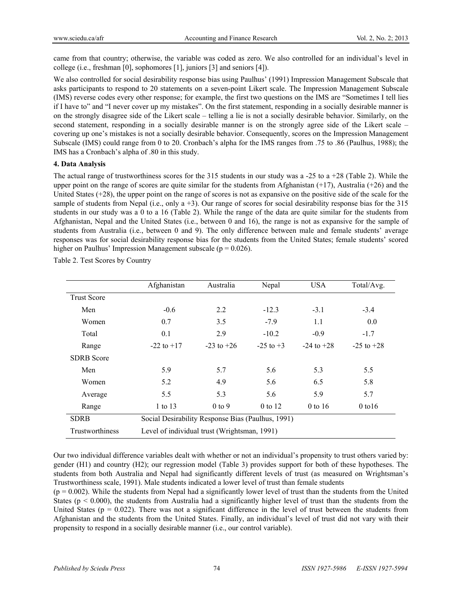came from that country; otherwise, the variable was coded as zero. We also controlled for an individual's level in college (i.e., freshman [0], sophomores [1], juniors [3] and seniors [4]).

We also controlled for social desirability response bias using Paulhus' (1991) Impression Management Subscale that asks participants to respond to 20 statements on a seven-point Likert scale. The Impression Management Subscale (IMS) reverse codes every other response; for example, the first two questions on the IMS are "Sometimes I tell lies if I have to" and "I never cover up my mistakes". On the first statement, responding in a socially desirable manner is on the strongly disagree side of the Likert scale – telling a lie is not a socially desirable behavior. Similarly, on the second statement, responding in a socially desirable manner is on the strongly agree side of the Likert scale – covering up one's mistakes is not a socially desirable behavior. Consequently, scores on the Impression Management Subscale (IMS) could range from 0 to 20. Cronbach's alpha for the IMS ranges from .75 to .86 (Paulhus, 1988); the IMS has a Cronbach's alpha of .80 in this study.

## **4. Data Analysis**

The actual range of trustworthiness scores for the 315 students in our study was a  $-25$  to a  $+28$  (Table 2). While the upper point on the range of scores are quite similar for the students from Afghanistan  $(+17)$ , Australia  $(+26)$  and the United States (+28), the upper point on the range of scores is not as expansive on the positive side of the scale for the sample of students from Nepal (i.e., only  $a + 3$ ). Our range of scores for social desirability response bias for the 315 students in our study was a 0 to a 16 (Table 2). While the range of the data are quite similar for the students from Afghanistan, Nepal and the United States (i.e., between 0 and 16), the range is not as expansive for the sample of students from Australia (i.e., between 0 and 9). The only difference between male and female students' average responses was for social desirability response bias for the students from the United States; female students' scored higher on Paulhus' Impression Management subscale ( $p = 0.026$ ).

|                    | Afghanistan                                       | Australia      | Nepal         | <b>USA</b>     | Total/Avg.     |  |
|--------------------|---------------------------------------------------|----------------|---------------|----------------|----------------|--|
| <b>Trust Score</b> |                                                   |                |               |                |                |  |
| Men                | $-0.6$                                            | 2.2            | $-12.3$       | $-3.1$         | $-3.4$         |  |
| Women              | 0.7                                               | 3.5            | $-7.9$        | 1.1            | 0.0            |  |
| Total              | 0.1                                               | 2.9            | $-10.2$       | $-0.9$         | $-1.7$         |  |
| Range              | $-22$ to $+17$                                    | $-23$ to $+26$ | $-25$ to $+3$ | $-24$ to $+28$ | $-25$ to $+28$ |  |
| <b>SDRB</b> Score  |                                                   |                |               |                |                |  |
| Men                | 5.9                                               | 5.7            | 5.6           | 5.3            | 5.5            |  |
| Women              | 5.2                                               | 4.9            | 5.6           | 6.5            | 5.8            |  |
| Average            | 5.5                                               | 5.3            | 5.6           | 5.9            | 5.7            |  |
| Range              | 1 to 13                                           | $0$ to 9       | 0 to 12       | $0$ to 16      | $0$ to $16$    |  |
| <b>SDRB</b>        | Social Desirability Response Bias (Paulhus, 1991) |                |               |                |                |  |
| Trustworthiness    | Level of individual trust (Wrightsman, 1991)      |                |               |                |                |  |

Table 2. Test Scores by Country

Our two individual difference variables dealt with whether or not an individual's propensity to trust others varied by: gender (H1) and country (H2); our regression model (Table 3) provides support for both of these hypotheses. The students from both Australia and Nepal had significantly different levels of trust (as measured on Wrightsman's Trustworthiness scale, 1991). Male students indicated a lower level of trust than female students

 $(p = 0.002)$ . While the students from Nepal had a significantly lower level of trust than the students from the United States ( $p < 0.000$ ), the students from Australia had a significantly higher level of trust than the students from the United States ( $p = 0.022$ ). There was not a significant difference in the level of trust between the students from Afghanistan and the students from the United States. Finally, an individual's level of trust did not vary with their propensity to respond in a socially desirable manner (i.e., our control variable).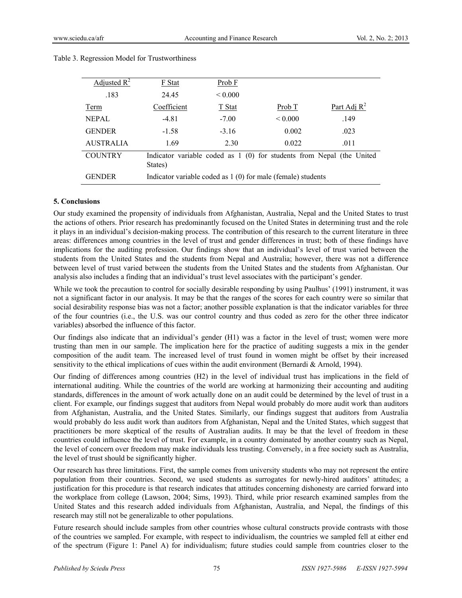| Adjusted $R^2$   | F Stat      | Prob F       |                                                                       |                |
|------------------|-------------|--------------|-----------------------------------------------------------------------|----------------|
| .183             | 24.45       | ${}_{0.000}$ |                                                                       |                |
| Term             | Coefficient | T Stat       | Prob $T$                                                              | Part Adj $R^2$ |
| <b>NEPAL</b>     | $-4.81$     | $-7.00$      | ${}_{0.000}$                                                          | .149           |
| <b>GENDER</b>    | $-1.58$     | $-3.16$      | 0.002                                                                 | .023           |
| <b>AUSTRALIA</b> | 1.69        | 2.30         | 0.022                                                                 | .011           |
| <b>COUNTRY</b>   | States)     |              | Indicator variable coded as 1 (0) for students from Nepal (the United |                |
| <b>GENDER</b>    |             |              | Indicator variable coded as $1(0)$ for male (female) students         |                |

## Table 3. Regression Model for Trustworthiness

# **5. Conclusions**

Our study examined the propensity of individuals from Afghanistan, Australia, Nepal and the United States to trust the actions of others. Prior research has predominantly focused on the United States in determining trust and the role it plays in an individual's decision-making process. The contribution of this research to the current literature in three areas: differences among countries in the level of trust and gender differences in trust; both of these findings have implications for the auditing profession. Our findings show that an individual's level of trust varied between the students from the United States and the students from Nepal and Australia; however, there was not a difference between level of trust varied between the students from the United States and the students from Afghanistan. Our analysis also includes a finding that an individual's trust level associates with the participant's gender.

While we took the precaution to control for socially desirable responding by using Paulhus' (1991) instrument, it was not a significant factor in our analysis. It may be that the ranges of the scores for each country were so similar that social desirability response bias was not a factor; another possible explanation is that the indicator variables for three of the four countries (i.e., the U.S. was our control country and thus coded as zero for the other three indicator variables) absorbed the influence of this factor.

Our findings also indicate that an individual's gender (H1) was a factor in the level of trust; women were more trusting than men in our sample. The implication here for the practice of auditing suggests a mix in the gender composition of the audit team. The increased level of trust found in women might be offset by their increased sensitivity to the ethical implications of cues within the audit environment (Bernardi & Arnold, 1994).

Our finding of differences among countries (H2) in the level of individual trust has implications in the field of international auditing. While the countries of the world are working at harmonizing their accounting and auditing standards, differences in the amount of work actually done on an audit could be determined by the level of trust in a client. For example, our findings suggest that auditors from Nepal would probably do more audit work than auditors from Afghanistan, Australia, and the United States. Similarly, our findings suggest that auditors from Australia would probably do less audit work than auditors from Afghanistan, Nepal and the United States, which suggest that practitioners be more skeptical of the results of Australian audits. It may be that the level of freedom in these countries could influence the level of trust. For example, in a country dominated by another country such as Nepal, the level of concern over freedom may make individuals less trusting. Conversely, in a free society such as Australia, the level of trust should be significantly higher.

Our research has three limitations. First, the sample comes from university students who may not represent the entire population from their countries. Second, we used students as surrogates for newly-hired auditors' attitudes; a justification for this procedure is that research indicates that attitudes concerning dishonesty are carried forward into the workplace from college (Lawson, 2004; Sims, 1993). Third, while prior research examined samples from the United States and this research added individuals from Afghanistan, Australia, and Nepal, the findings of this research may still not be generalizable to other populations.

Future research should include samples from other countries whose cultural constructs provide contrasts with those of the countries we sampled. For example, with respect to individualism, the countries we sampled fell at either end of the spectrum (Figure 1: Panel A) for individualism; future studies could sample from countries closer to the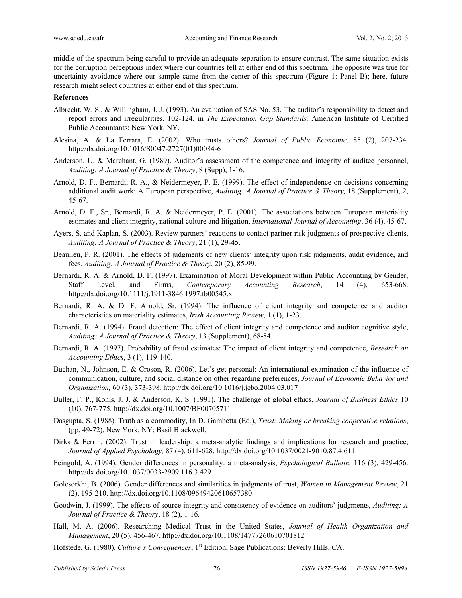middle of the spectrum being careful to provide an adequate separation to ensure contrast. The same situation exists for the corruption perceptions index where our countries fell at either end of this spectrum. The opposite was true for uncertainty avoidance where our sample came from the center of this spectrum (Figure 1: Panel B); here, future research might select countries at either end of this spectrum.

#### **References**

- Albrecht, W. S., & Willingham, J. J. (1993). An evaluation of SAS No. 53, The auditor's responsibility to detect and report errors and irregularities. 102-124, in *The Expectation Gap Standards,* American Institute of Certified Public Accountants: New York, NY.
- Alesina, A. & La Ferrara, E. (2002). Who trusts others? *Journal of Public Economic,* 85 (2), 207-234. http://dx.doi.org/10.1016/S0047-2727(01)00084-6
- Anderson, U. & Marchant, G. (1989). Auditor's assessment of the competence and integrity of auditee personnel, *Auditing: A Journal of Practice & Theory*, 8 (Supp), 1-16.
- Arnold, D. F., Bernardi, R. A., & Neidermeyer, P. E. (1999). The effect of independence on decisions concerning additional audit work: A European perspective, *Auditing: A Journal of Practice & Theory,* 18 (Supplement), 2, 45-67.
- Arnold, D. F., Sr., Bernardi, R. A. & Neidermeyer, P. E. (2001). The associations between European materiality estimates and client integrity, national culture and litigation, *International Journal of Accounting*, 36 (4), 45-67.
- Ayers, S. and Kaplan, S. (2003). Review partners' reactions to contact partner risk judgments of prospective clients, *Auditing: A Journal of Practice & Theory*, 21 (1), 29-45.
- Beaulieu, P. R. (2001). The effects of judgments of new clients' integrity upon risk judgments, audit evidence, and fees, *Auditing: A Journal of Practice & Theory*, 20 (2), 85-99.
- Bernardi, R. A. & Arnold, D. F. (1997). Examination of Moral Development within Public Accounting by Gender, Staff Level, and Firms, *Contemporary Accounting Research*, 14 (4), 653-668. http://dx.doi.org/10.1111/j.1911-3846.1997.tb00545.x
- Bernardi, R. A. & D. F. Arnold, Sr. (1994). The influence of client integrity and competence and auditor characteristics on materiality estimates, *Irish Accounting Review*, 1 (1), 1-23.
- Bernardi, R. A. (1994). Fraud detection: The effect of client integrity and competence and auditor cognitive style, *Auditing: A Journal of Practice & Theory*, 13 (Supplement), 68-84.
- Bernardi, R. A. (1997). Probability of fraud estimates: The impact of client integrity and competence, *Research on Accounting Ethics*, 3 (1), 119-140.
- Buchan, N., Johnson, E. & Croson, R. (2006). Let's get personal: An international examination of the influence of communication, culture, and social distance on other regarding preferences, *Journal of Economic Behavior and Organization,* 60 (3), 373-398. http://dx.doi.org/10.1016/j.jebo.2004.03.017
- Buller, F. P., Kohis, J. J. & Anderson, K. S. (1991). The challenge of global ethics, *Journal of Business Ethics* 10 (10), 767-775*.* http://dx.doi.org/10.1007/BF00705711
- Dasgupta, S. (1988). Truth as a commodity, In D. Gambetta (Ed.), *Trust: Making or breaking cooperative relations*, (pp. 49-72). New York, NY: Basil Blackwell.
- Dirks & Ferrin, (2002). Trust in leadership: a meta-analytic findings and implications for research and practice, *Journal of Applied Psychology,* 87 (4), 611-628. http://dx.doi.org/10.1037/0021-9010.87.4.611
- Feingold, A. (1994). Gender differences in personality: a meta-analysis, *Psychological Bulletin,* 116 (3), 429-456. http://dx.doi.org/10.1037/0033-2909.116.3.429
- Golesorkhi, B. (2006). Gender differences and similarities in judgments of trust, *Women in Management Review*, 21 (2), 195-210. http://dx.doi.org/10.1108/09649420610657380
- Goodwin, J. (1999). The effects of source integrity and consistency of evidence on auditors' judgments, *Auditing: A Journal of Practice & Theory*, 18 (2), 1-16.
- Hall, M. A. (2006). Researching Medical Trust in the United States, *Journal of Health Organization and Management*, 20 (5), 456-467. http://dx.doi.org/10.1108/14777260610701812
- Hofstede, G. (1980). *Culture's Consequences*, 1st Edition, Sage Publications: Beverly Hills, CA.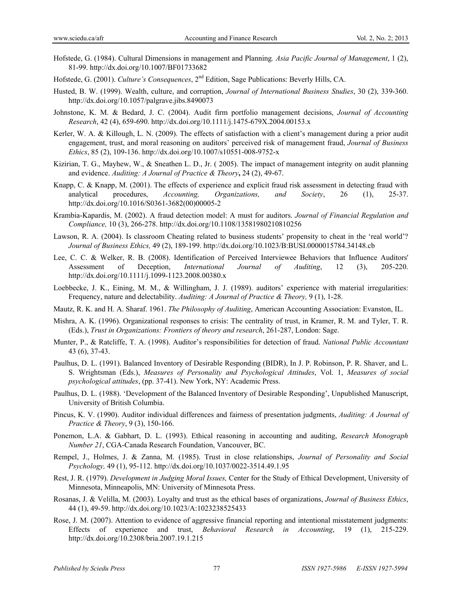- Hofstede, G. (1984). Cultural Dimensions in management and Planning*. Asia Pacific Journal of Management*, 1 (2), 81-99. http://dx.doi.org/10.1007/BF01733682
- Hofstede, G. (2001). *Culture's Consequences*, 2nd Edition, Sage Publications: Beverly Hills, CA.
- Husted, B. W. (1999). Wealth, culture, and corruption, *Journal of International Business Studies*, 30 (2), 339-360. http://dx.doi.org/10.1057/palgrave.jibs.8490073
- Johnstone, K. M. & Bedard, J. C. (2004). Audit firm portfolio management decisions, *Journal of Accounting Research*, 42 (4), 659-690. http://dx.doi.org/10.1111/j.1475-679X.2004.00153.x
- Kerler, W. A. & Killough, L. N. (2009). The effects of satisfaction with a client's management during a prior audit engagement, trust, and moral reasoning on auditors' perceived risk of management fraud, *Journal of Business Ethics*, 85 (2), 109-136. http://dx.doi.org/10.1007/s10551-008-9752-x
- Kizirian, T. G., Mayhew, W., & Sneathen L. D., Jr. (2005). The impact of management integrity on audit planning and evidence. *Auditing: A Journal of Practice & Theory***,** 24 (2), 49-67.
- Knapp, C. & Knapp, M. (2001). The effects of experience and explicit fraud risk assessment in detecting fraud with analytical procedures, *Accounting, Organizations, and Society*, 26 (1), 25-37. http://dx.doi.org/10.1016/S0361-3682(00)00005-2
- Krambia-Kapardis, M. (2002). A fraud detection model: A must for auditors. *Journal of Financial Regulation and Compliance,* 10 (3), 266-278. http://dx.doi.org/10.1108/13581980210810256
- Lawson, R. A. (2004). Is classroom Cheating related to business students' propensity to cheat in the 'real world'? *Journal of Business Ethics,* 49 (2), 189-199. http://dx.doi.org/10.1023/B:BUSI.0000015784.34148.cb
- Lee, C. C. & Welker, R. B. (2008). Identification of Perceived Interviewee Behaviors that Influence Auditors' Assessment of Deception, *International Journal of Auditing*, 12 (3), 205-220. http://dx.doi.org/10.1111/j.1099-1123.2008.00380.x
- Loebbecke, J. K., Eining, M. M., & Willingham, J. J. (1989). auditors' experience with material irregularities: Frequency, nature and delectability. *Auditing: A Journal of Practice & Theory,* 9 (1), 1-28.
- Mautz, R. K. and H. A. Sharaf. 1961. *The Philosophy of Auditing*, American Accounting Association: Evanston, IL.
- Mishra, A. K. (1996). Organizational responses to crisis: The centrality of trust, in Kramer, R. M. and Tyler, T. R. (Eds.), *Trust in Organizations: Frontiers of theory and research*, 261-287, London: Sage.
- Munter, P., & Ratcliffe, T. A. (1998). Auditor's responsibilities for detection of fraud. *National Public Accountant* 43 (6), 37-43.
- Paulhus, D. L. (1991). Balanced Inventory of Desirable Responding (BIDR), In J. P. Robinson, P. R. Shaver, and L. S. Wrightsman (Eds.), *Measures of Personality and Psychological Attitudes*, Vol. 1, *Measures of social psychological attitudes*, (pp. 37-41). New York, NY: Academic Press.
- Paulhus, D. L. (1988). 'Development of the Balanced Inventory of Desirable Responding', Unpublished Manuscript, University of British Columbia.
- Pincus, K. V. (1990). Auditor individual differences and fairness of presentation judgments, *Auditing: A Journal of Practice & Theory*, 9 (3), 150-166.
- Ponemon, L.A. & Gabhart, D. L. (1993). Ethical reasoning in accounting and auditing, *Research Monograph Number 21*, CGA-Canada Research Foundation, Vancouver, BC.
- Rempel, J., Holmes, J. & Zanna, M. (1985). Trust in close relationships, *Journal of Personality and Social Psychology,* 49 (1), 95-112. http://dx.doi.org/10.1037/0022-3514.49.1.95
- Rest, J. R. (1979). *Development in Judging Moral Issues,* Center for the Study of Ethical Development, University of Minnesota, Minneapolis, MN: University of Minnesota Press.
- Rosanas, J. & Velilla, M. (2003). Loyalty and trust as the ethical bases of organizations, *Journal of Business Ethics*, 44 (1), 49-59. http://dx.doi.org/10.1023/A:1023238525433
- Rose, J. M. (2007). Attention to evidence of aggressive financial reporting and intentional misstatement judgments: Effects of experience and trust, *Behavioral Research in Accounting*, 19 (1), 215-229. http://dx.doi.org/10.2308/bria.2007.19.1.215